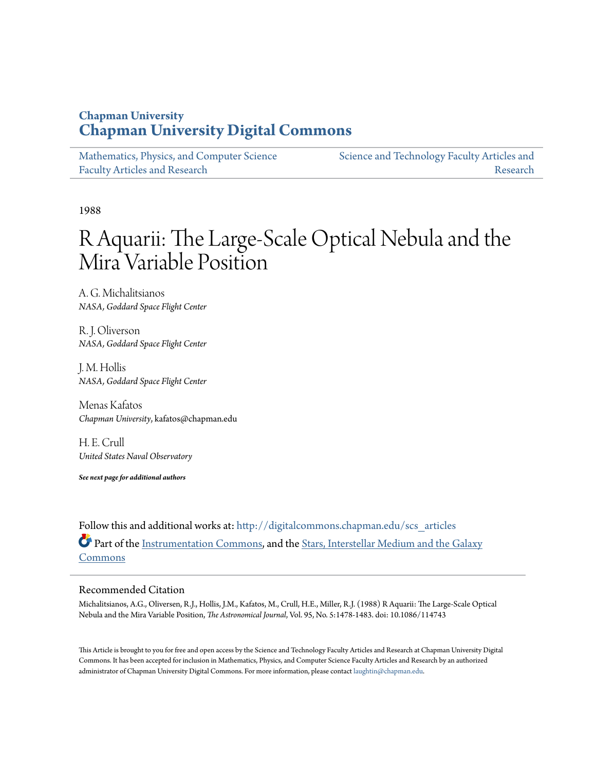# **Chapman University [Chapman University Digital Commons](http://digitalcommons.chapman.edu?utm_source=digitalcommons.chapman.edu%2Fscs_articles%2F112&utm_medium=PDF&utm_campaign=PDFCoverPages)**

| Mathematics, Physics, and Computer Science | Science and Technology Faculty Articles and |
|--------------------------------------------|---------------------------------------------|
| <b>Faculty Articles and Research</b>       | Research                                    |

1988

# R Aquarii: The Large-Scale Optical Nebula and the Mira Variable Position

A. G. Michalitsianos *NASA, Goddard Space Flight Center*

R. J. Oliverson *NASA, Goddard Space Flight Center*

J. M. Hollis *NASA, Goddard Space Flight Center*

Menas Kafatos *Chapman University*, kafatos@chapman.edu

H. E. Crull *United States Naval Observatory*

*See next page for additional authors*

Follow this and additional works at: [http://digitalcommons.chapman.edu/scs\\_articles](http://digitalcommons.chapman.edu/scs_articles?utm_source=digitalcommons.chapman.edu%2Fscs_articles%2F112&utm_medium=PDF&utm_campaign=PDFCoverPages) Part of the [Instrumentation Commons](http://network.bepress.com/hgg/discipline/125?utm_source=digitalcommons.chapman.edu%2Fscs_articles%2F112&utm_medium=PDF&utm_campaign=PDFCoverPages), and the [Stars, Interstellar Medium and the Galaxy](http://network.bepress.com/hgg/discipline/127?utm_source=digitalcommons.chapman.edu%2Fscs_articles%2F112&utm_medium=PDF&utm_campaign=PDFCoverPages) [Commons](http://network.bepress.com/hgg/discipline/127?utm_source=digitalcommons.chapman.edu%2Fscs_articles%2F112&utm_medium=PDF&utm_campaign=PDFCoverPages)

# Recommended Citation

Michalitsianos, A.G., Oliversen, R.J., Hollis, J.M., Kafatos, M., Crull, H.E., Miller, R.J. (1988) R Aquarii: The Large-Scale Optical Nebula and the Mira Variable Position, *The Astronomical Journal*, Vol. 95, No. 5:1478-1483. doi: 10.1086/114743

This Article is brought to you for free and open access by the Science and Technology Faculty Articles and Research at Chapman University Digital Commons. It has been accepted for inclusion in Mathematics, Physics, and Computer Science Faculty Articles and Research by an authorized administrator of Chapman University Digital Commons. For more information, please contact [laughtin@chapman.edu.](mailto:laughtin@chapman.edu)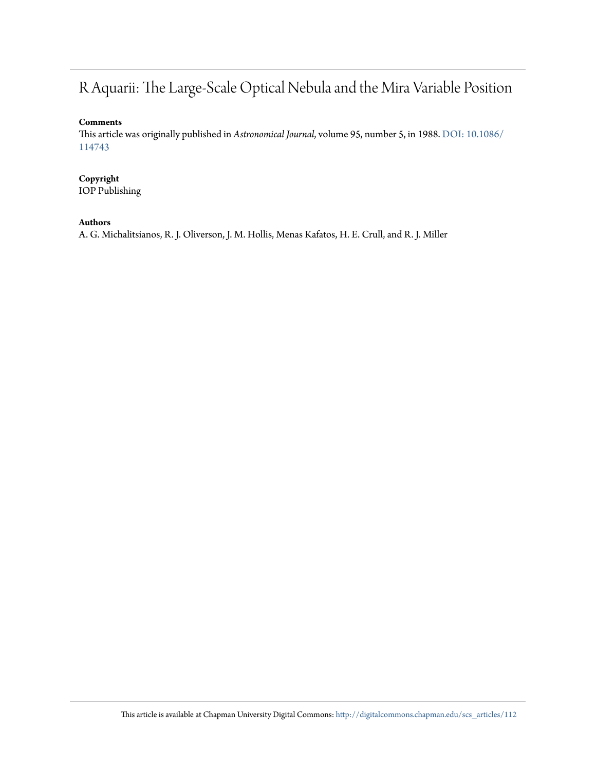# R Aquarii: The Large-Scale Optical Nebula and the Mira Variable Position

## **Comments**

This article was originally published in *Astronomical Journal*, volume 95, number 5, in 1988. [DOI: 10.1086/](http://dx.doi.org/10.1086/114743) [114743](http://dx.doi.org/10.1086/114743)

# **Copyright**

IOP Publishing

# **Authors**

A. G. Michalitsianos, R. J. Oliverson, J. M. Hollis, Menas Kafatos, H. E. Crull, and R. J. Miller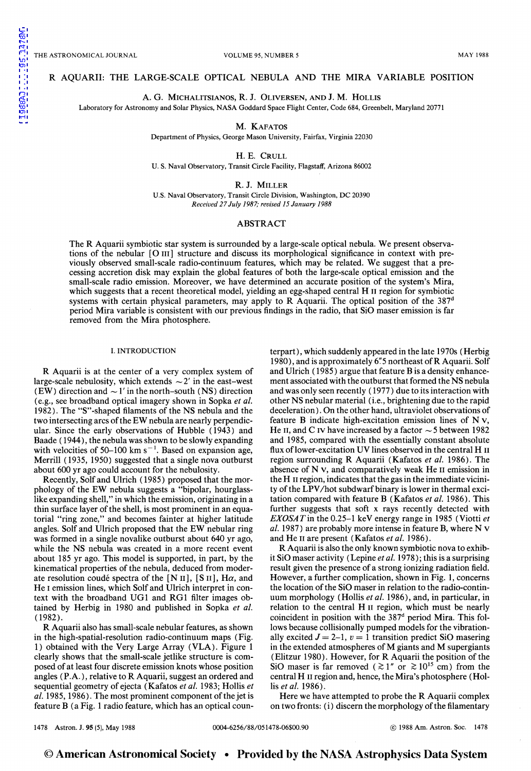### R AQUARII: THE LARGE-SCALE OPTICAL NEBULA AND THE MIRA VARIABLE POSITION

A. G. MICHALITSIANOS, R. J. 0LIVERSEN, AND J. M. HOLLIS

Laboratory for Astronomy and Solar Physics, NASA Goddard Space Flight Center, Code 684, Greenbelt, Maryland 20771

M. KAFATOS

Department of Physics, George Mason University, Fairfax, Virginia 22030

H. E. CRULL

U. S. Naval Observatory, Transit Circle Facility, Flagstaff, Arizona 86002

R. J. MILLER

U.S. Naval Observatory, Transit Circle Division, Washington, DC 20390 *Received 27 July 1987; revised 15 January 1988* 

#### ABSTRACT

The R Aquarii symbiotic star system is surrounded by a large-scale optical nebula. We present observations of the nebular [O III] structure and discuss its morphological significance in context with previously observed small-scale radio-continuum features, which may be related. We suggest that a precessing accretion disk may explain the global features of both the large-scale optical emission and the small-scale radio emission. Moreover, we have determined an accurate position of the system's Mira, which suggests that a recent theoretical model, yielding an egg-shaped central H II region for symbiotic systems with certain physical parameters, may apply to R Aquarii. The optical position of the  $387<sup>d</sup>$ period Mira variable is consistent with our previous findings in the radio, that SiO maser emission is far removed from the Mira photosphere.

#### I. INTRODUCTION

R Aquarii is at the center of a very complex system of large-scale nebulosity, which extends  $\sim$  2' in the east-west (EW) direction and  $\sim$  1' in the north-south (NS) direction (e.g., see broadband optical imagery shown in Sopka *eta/.*  1982). The "S"-shaped filaments of the NS nebula and the two intersecting arcs of the EW nebula are nearly perpendicular. Since the early observations of Hubble ( 1943) and Baade ( 1944), the nebula was shown to be slowly expanding with velocities of 50-100 km  $s^{-1}$ . Based on expansion age, Merrill ( 1935, 1950) suggested that a single nova outburst about 600 yr ago could account for the nebulosity.

Recently, Solfand Ulrich (1985) proposed that the morphology of the EW nebula suggests a "bipolar, hourglasslike expanding shell," in which the emission, originating in a thin surface layer of the shell, is most prominent in an equatorial "ring zone,'' and becomes fainter at higher latitude angles. Solf and Ulrich proposed that the EW nebular ring was formed in a single novalike outburst about 640 yr ago, while the NS nebula was created in a more recent event about 185 yr ago. This model is supported, in part, by the kinematical properties of the nebula, deduced from moderate resolution coudé spectra of the [N II], [S II], H $\alpha$ , and He I emission lines, which Solf and Ulrich interpret in context with the broadband UG1 and RG1 filter images obtained by Herbig in 1980 and published in Sopka *et a/.*  (1982).

R Aquarii also has small-scale nebular features, as shown in the high-spatial-resolution radio-continuum maps (Fig. 1) obtained with the Very Large Array (VLA). Figure 1 clearly shows that the small-scale jetlike structure is composed of at least four discrete emission knots whose position angles (P.A.), relative to R Aquarii, suggest an ordered and sequential geometry of ejecta (Kafatos *et al.* 1983; Hollis *et a!.* 1985, 1986). The most prominent component of the jet is feature B (a Fig. 1 radio feature, which has an optical counterpart), which suddenly appeared in the late 1970s (Herbig 1980), and is approximately 6~ *5* northeast of R Aquarii. Solf and Ulrich ( 1985) argue that feature B is a density enhancement associated with the outburst that formed the NS nebula and was only seen recently ( 1977) due to its interaction with other NS nebular material (i.e., brightening due to the rapid deceleration). On the other hand, ultraviolet observations of feature B indicate high-excitation emission lines of N v, He II, and C IV have increased by a factor  $\sim$  5 between 1982 and 1985, compared with the essentially constant absolute flux of lower-excitation UV lines observed in the central H II region surrounding R Aquarii (Kafatos et al. 1986). The absence of N v, and comparatively weak He II emission in the H II region, indicates that the gas in the immediate vicinity of the LPV/hot subdwarf binary is lower in thermal excitation compared with feature B ( Kafatos *et a/.* 1986). This further suggests that soft x rays recently detected with *EXOSATin* the 0.25-1 keY energy range in 1985 (Viotti *et a/.* 1987) are probably more intense in feature B, where N v and He II are present (Kafatos et al. 1986).

R Aquarii is also the only known symbiotic nova to exhibit SiO maser activity (Lepine *eta/.* 1978); this is a surprising result given the presence of a strong ionizing radiation field. However, a further complication, shown in Fig. l, concerns the location of the SiO maser in relation to the radio-continuum morphology (Hollis *eta/.* 1986), and, in particular, in relation to the central H II region, which must be nearly coincident in position with the 387<sup>d</sup> period Mira. This follows because collisionally pumped models for the vibrationally excited  $J = 2-1$ ,  $v = 1$  transition predict SiO masering in the extended atmospheres of M giants and M supergiants (Elitzur 1980). However, for R Aquarii the position of the SiO maser is far removed ( $\gtrsim 1''$  or  $\gtrsim 10^{15}$  cm) from the central H II region and, hence, the Mira's photosphere (Hollis et al. 1986).

Here we have attempted to probe the R Aquarii complex on two fronts: ( i) discern the morphology of the filamentary

1478 Astron. J. 95 (5), May 1988 **0004-6256/88/051478-06\$00.90 @ 1988 Am. Astron. Soc.** 1478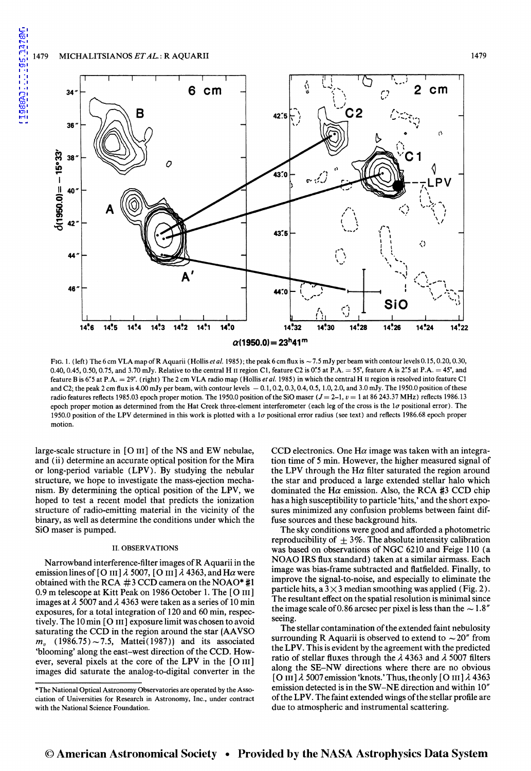#### 1479 MICHALITSIANOS *ET AL.:* R AQUARII

[1988AJ.....95.1478M](http://adsabs.harvard.edu/abs/1988AJ.....95.1478M)

1988AJ......95.1478M



FIG. 1. (left) The 6 cm VLA map of R Aquarii (Hollis *et al.* 1985); the peak 6 cm flux is  $\sim$  7.5 mJy per beam with contour levels 0.15, 0.20, 0.30, 0.40, 0.45, 0.50, 0.75, and 3.70 mJy. Relative to the central H II region C1, feature C2 is 0.5 at P.A. =55°, feature A is 2.5 at P.A. = 45°, and feature B is 6"5 at P.A. = 29°. (right) The 2 cm VLA radio map (Hollis et al. 1985) in which the central H II region is resolved into feature C1 and C2; the peak 2 cm flux is 4.00 mJy per beam, with contour levels  $-0.1, 0.2, 0.3, 0.4, 0.5, 1.0, 2.0$ , and 3.0 mJy. The 1950.0 position of these radio features reflects 1985.03 epoch proper motion. The 1950.0 position of the SiO maser ( $J = 2-1$ ,  $v = 1$  at 86 243.37 MHz) reflects 1986.13 epoch proper motion as determined from the Hat Creek three-element interferometer (each leg of the cross is the  $1\sigma$  positional error). The 1950.0 position of the LPV determined in this work is plotted with a I *u* positional error radius (see text) and reflects 1986.68 epoch proper motion.

large-scale structure in [ 0 III] of the NS and EW nebulae, and (ii) determine an accurate optical position for the Mira or long-period variable (LPV). By studying the nebular structure, we hope to investigate the mass-ejection mechanism. By determining the optical position of the LPV, we hoped to test a recent model that predicts the ionization structure of radio-emitting material in the vicinity of the binary, as well as determine the conditions under which the SiO maser is pumped.

#### II. OBSERVATIONS

Narrowband interference-filter images of R Aquarii in the emission lines of [O III]  $\lambda$  5007, [O III]  $\lambda$  4363, and H $\alpha$  were obtained with the RCA #3 CCD camera on the NOAO\* #1 0.9 m telescope at Kitt Peak on 1986 October 1. The [0 III] images at  $\lambda$  5007 and  $\lambda$  4363 were taken as a series of 10 min exposures, for a total integration of 120 and 60 min, respectively. The 10 min [O III] exposure limit was chosen to avoid saturating the CCD in the region around the star (AAVSO  $m_v$  (1986.75)~7.5, Mattei(1987)) and its associated 'blooming' along the east-west direction of the CCD. However, several pixels at the core of the LPV in the [0 III] images did saturate the analog-to-digital converter in the

CCD electronics. One H $\alpha$  image was taken with an integration time of 5 min. However, the higher measured signal of the LPV through the H $\alpha$  filter saturated the region around the star and produced a large extended stellar halo which dominated the H $\alpha$  emission. Also, the RCA #3 CCD chip has a high susceptibility to particle 'hits,' and the short exposures minimized any confusion problems between faint diffuse sources and these background hits.

The sky conditions were good and afforded a photometric reproducibility of  $\pm 3\%$ . The absolute intensity calibration was based on observations of NGC 6210 and Feige 110 (a NOAO IRS flux standard) taken at a similar airmass. Each image was bias-frame subtracted and flatfielded. Finally, to improve the signal-to-noise, and especially to eliminate the particle hits, a  $3 \times 3$  median smoothing was applied (Fig. 2). The resultant effect on the spatial resolution is minimal since the image scale of 0.86 arcsec per pixel is less than the  $\sim$  1.8" seeing.

The stellar contamination of the extended faint nebulosity surrounding R Aquarii is observed to extend to  $\sim$  20" from the LPV. This is evident by the agreement with the predicted ratio of stellar fluxes through the *A.* 4363 and *A.* 5007 filters along the SE-NW directions where there are no obvious  $[O III]$  $\lambda$  5007 emission 'knots.' Thus, the only  $[O III]$  $\lambda$  4363 emission detected is in the SW-NE direction and within 10" of the LPV. The faint extended wings of the stellar profile are due to atmospheric and instrumental scattering.

<sup>\*</sup>The National Optical Astronomy Observatories are operated by the Association of Universities for Research in Astronomy, Inc., under contract with the National Science Foundation.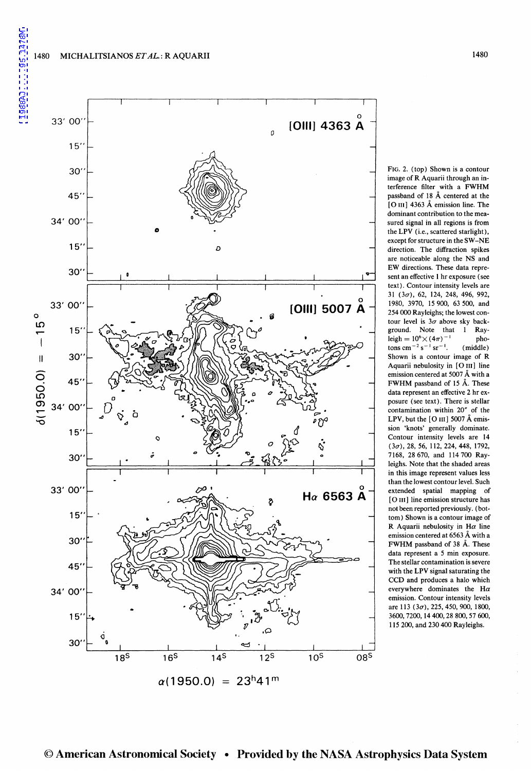

FIG. 2. (top) Shown is a contour image of R Aquarii through an interference filter with a FWHM passband of 18 A centered at the [O III] 4363 Å emission line. The dominant contribution to the measured signal in all regions is from the LPV (i.e., scattered starlight), except for structure in the SW-NE direction. The diffraction spikes are noticeable along the NS and EW directions. These data represent an effective I hr exposure (see text). Contour intensity levels are  $31$  ( $3\sigma$ ), 62, 124, 248, 496, 992, 1980, 3970, 15 900, 63 500, and 254 000 Rayleighs; the lowest contour level is  $3\sigma$  above sky background. Note that I Ray- $\text{leigh} = 10^6 \times (4\pi)^{-1}$  pho $t$ ons cm<sup>-2</sup> s<sup>-1</sup> sr<sup>-1</sup>. (middle) Shown is a contour image of R Aquarii nebulosity in [O III] line emission centered at 5007 A with a FWHM passband of 15 A. These data represent an effective 2 hr exposure (see text). There is stellar contamination within 20" of the LPV, but the  $[O III]$  5007 Å emission 'knots' generally dominate. Contour intensity levels are 14  $(3\sigma)$ , 28, 56, 112, 224, 448, 1792, 7168, 28670, and 114700 Rayleighs. Note that the shaded areas in this image represent values less than the lowest contour level. Such extended spatial mapping of [O III] line emission structure has not been reported previously. (bottom) Shown is a contour image of R Aquarii nebulosity in H $\alpha$  line emission centered at 6563 A with a FWHM passband of 38 A. These data represent a 5 min exposure. The stellar contamination is severe with the LPV signal saturating the CCD and produces a halo which everywhere dominates the H $\alpha$ emission. Contour intensity levels are 113 (3 $\sigma$ ), 225, 450, 900, 1800, 3600,7200, 14 400,28 800,57 600, 115 200, and 230 400 Rayleighs.

© American Astronomical Society • Provided by the NASA Astrophysics Data System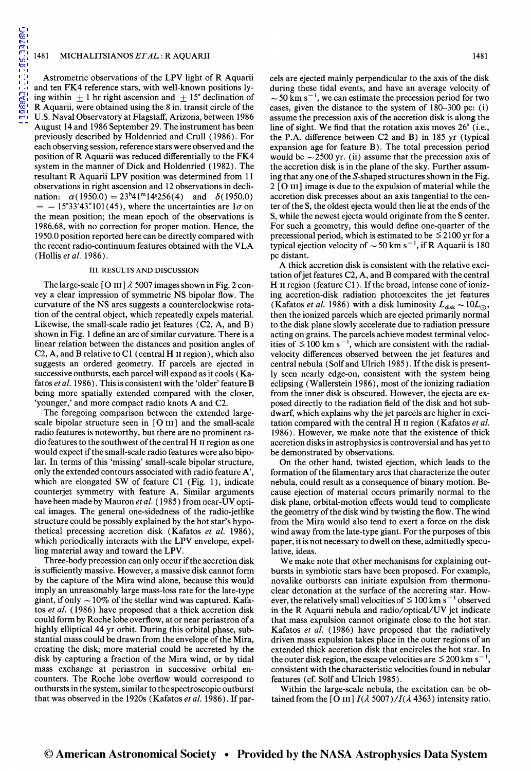Astrometric observations of the LPV light of R Aquarii and ten FK4 reference stars, with well-known positions lying within  $\pm 1$  hr right ascension and  $\pm 15^{\circ}$  declination of R Aquarii, were obtained using the 8 in. transit circle of the U.S. Naval Observatory at Flagstaff, Arizona, between 1986 August 14 and 1986 September 29. The instrument has been previously described by Holdenried and Crull ( 1986). For each observing session, reference stars were observed and the position of R Aquarii was reduced differentially to the FK4 system in the manner of Dick and Holdenried ( 1982). The resultant R Aquarii LPV position was determined from 11 observations in right ascension and 12 observations in declination:  $\alpha(1950.0) = 23^{\text{h}}41^{\text{m}}14.256(4)$  and  $\delta(1950.0)$  $=$  -15°33′43″ 101(45), where the uncertainties are  $1\sigma$  on the mean position; the mean epoch of the observations is 1986.68, with no correction for proper motion. Hence, the 1950.0 position reported here can be directly compared with the recent radio-continuum features obtained with the VLA (Hollis *eta/.* 1986).

#### III. RESULTS AND DISCUSSION

The large-scale [O III]  $\lambda$  5007 images shown in Fig. 2 convey a clear impression of symmetric NS bipolar flow. The curvature of the NS arcs suggests a counterclockwise rotation of the central object, which repeatedly expels material. Likewise, the small-scale radio jet features (C2, A, and B) shown in Fig. 1 define an arc of similar curvature. There is a linear relation between the distances and position angles of C2, A, and B relative to C1 (central H  $\scriptstyle\rm II$  region), which also suggests an ordered geometry. If parcels are ejected in successive outbursts, each parcel will expand as it cools ( Kafatos *eta/.* 1986). This is consistent with the 'older' feature B being more spatially extended compared with the closer, 'younger,' and more compact radio knots A and C2.

The foregoing comparison between the extended largescale bipolar structure seen in [0 III] and the small-scale radio features is noteworthy, but there are no prominent radio features to the southwest ofthe central H II region as one would expect if the small-scale radio features were also bipolar. In terms of this 'missing' small-scale bipolar structure, only the extended contours associated with radio feature A', which are elongated SW of feature C1 (Fig. 1), indicate counterjet symmetry with feature A. Similar arguments have been made by Mauron *et al.* (1985) from near-UV optical images. The general one-sidedness of the radio-jetlike structure could be possibly explained by the hot star's hypothetical precessing accretion disk (Kafatos *et a/.* 1986), which periodically interacts with the LPV envelope, expelling material away and toward the LPV.

Three-body precession can only occur if the accretion disk is sufficiently massive. However, a massive disk cannot form by the capture of the Mira wind alone, because this would imply an unreasonably large mass-loss rate for the late-type giant, if only  $\sim$  10% of the stellar wind was captured. Kafatos *et al.* (1986) have proposed that a thick accretion disk could form by Roche lobe overflow, at or near periastron of a highly elliptical 44 yr orbit. During this orbital phase, substantial mass could be drawn from the envelope of the Mira, creating the disk; more material could be accreted by the disk by capturing a fraction of the Mira wind, or by tidal mass exchange at periastron in successive orbital encounters. The Roche lobe overflow would correspond to outbursts in the system, similar to the spectroscopic outburst that was observed in the 1920s ( Kafatos *eta/.* 1986). If pareels are ejected mainly perpendicular to the axis of the disk during these tidal events, and have an average velocity of  $\sim$  50 km s<sup>-1</sup>, we can estimate the precession period for two cases, given the distance to the system of 180-300 pc: (i) assume the precession axis of the accretion disk is along the line of sight. We find that the rotation axis moves 26" (i.e., the P.A. difference between C2 and B) in 185 yr (typical expansion age for feature B). The total precession period would be  $\sim$  2500 yr. (ii) assume that the precession axis of the accretion disk is in the plane of the sky. Further assuming that any one of the S-shaped structures shown in the Fig. 2 [O III] image is due to the expulsion of material while the accretion disk precesses about an axis tangential to the center of the S, the oldest ejecta would then lie at the ends of the S, while the newest ejecta would originate from the S center. For such a geometry, this would define one-quarter of the precessional period, which is estimated to be *S* 2100 yr for a typical ejection velocity of  $\sim$  50 km s<sup>-1</sup>, if R Aquarii is 180 pc distant.

A thick accretion disk is consistent with the relative excitation of jet features C2, A, and B compared with the central H II region (feature C1). If the broad, intense cone of ionizing accretion-disk radiation photoexcites the jet features (Kafatos *et al.* 1986) with a disk luminosity  $L_{disk} \sim 10L_{\odot}$ , then the ionized parcels which are ejected primarily normal to the disk plane slowly accelerate due to radiation pressure acting on grains. The parcels achieve modest terminal velocities of  $\leq 100 \text{ km s}^{-1}$ , which are consistent with the radialvelocity differences observed between the jet features and central nebula (Solfand Ulrich 1985). If the disk is presently seen nearly edge-on, consistent with the system being eclipsing (Wallerstein 1986), most of the ionizing radiation from the inner disk is obscured. However, the ejecta are exposed directly to the radiation field of the disk and hot subdwarf, which explains why the jet parcels are higher in excitation compared with the central H II region ( Kafatos *et a/.*  1986). However, we make note that the existence of thick accretion disks in astrophysics is controversial and has yet to be demonstrated by observations.

On the other hand, twisted ejection, which leads to the formation of the filamentary arcs that characterize the outer nebula, could result as a consequence of binary motion. Because ejection of material occurs primarily normal to the disk plane, orbital-motion effects would tend to complicate the geometry of the disk wind by twisting the flow. The wind from the Mira would also tend to exert a force on the disk wind away from the late-type giant. For the purposes of this paper, it is not necessary to dwell on these, admittedly speculative, ideas.

We make note that other mechanisms for explaining outbursts in symbiotic stars have been proposed. For example, novalike outbursts can initiate expulsion from thermonuclear detonation at the surface of the accreting star. However, the relatively small velocities of  $\leq 100$  km s<sup>-1</sup> observed in the R Aquarii nebula and radio/ optical/UV jet indicate that mass expulsion cannot originate close to the hot star. Kafatos *et al.* (1986) have proposed that the radiatively driven mass expulsion takes place in the outer regions of an extended thick accretion disk that encircles the hot star. In the outer disk region, the escape velocities are  $\leq 200$  km s<sup>-1</sup> consistent with the characteristic velocities found in nebular features (cf. Solf and Ulrich 1985).

Within the large-scale nebula, the excitation can be obtained from the [O III]  $I(\lambda 5007)/I(\lambda 4363)$  intensity ratio.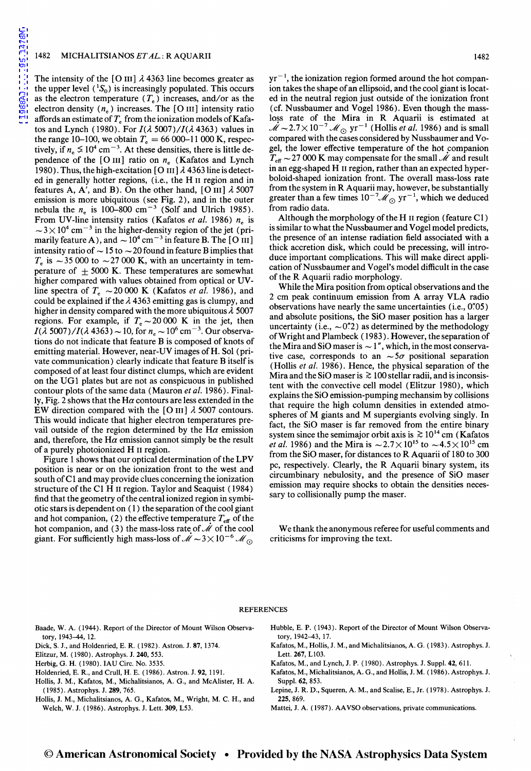The intensity of the [O III]  $\lambda$  4363 line becomes greater as the upper level  $({}^{1}S_{0})$  is increasingly populated. This occurs as the electron temperature ( $T_e$ ) increases, and/or as the electron density  $(n_e)$  increases. The [O III] intensity ratio affords an estimate of  $T<sub>e</sub>$  from the ionization models of Kafatos and Lynch ( 1980). For *l(A* 5007)/l(A 4363) values in the range 10–100, we obtain  $T_e = 66\,000$ –11 000 K, respectively, if  $n_e \le 10^4$  cm<sup>-3</sup>. At these densities, there is little dependence of the [O III] ratio on  $n_e$  (Kafatos and Lynch 1980). Thus, the high-excitation [O III]  $\lambda$  4363 line is detected in generally hotter regions, (i.e., the H II region and in features A, A', and B). On the other hand, [O III]  $\lambda$  5007 emission is more ubiquitous (see Fig. 2), and in the outer nebula the  $n_e$  is 100-800 cm<sup>-3</sup> (Solf and Ulrich 1985). From UV-line intensity ratios (Kafatos *et al.* 1986)  $n_e$  is  $\sim$  3  $\times$  10<sup>4</sup> cm<sup>-3</sup> in the higher-density region of the jet (primarily feature A), and  $\sim 10^4 \text{ cm}^{-3}$  in feature B. The [O III] intensity ratio of  $\sim$  15 to  $\sim$  20 found in feature B implies that  $T_e$  is  $\sim$  35 000 to  $\sim$  27 000 K, with an uncertainty in temperature of  $\pm$  5000 K. These temperatures are somewhat higher compared with values obtained from optical or UVline spectra of  $T_e \sim 20000 \text{ K}$  (Kafatos *et al.* 1986), and could be explained if the  $\lambda$  4363 emitting gas is clumpy, and higher in density compared with the more ubiquitous *A* 5007 regions. For example, if  $T_e \sim 20000$  K in the jet, then  $I(\lambda 5007)/I(\lambda 4363) \sim 10$ , for  $n_e \sim 10^6$  cm<sup>-3</sup>. Our observations do not indicate that feature B is composed of knots of emitting material. However, near-UV images of H. Sol (private communication) clearly indicate that feature B itself is composed of at least four distinct clumps, which are evident on the UG1 plates but are not as conspicuous in published contour plots of the same data (Mauron *et al.* 1986). Finally, Fig. 2 shows that the H $\alpha$  contours are less extended in the EW direction compared with the [O III]  $\lambda$  5007 contours. This would indicate that higher electron temperatures prevail outside of the region determined by the H $\alpha$  emission and, therefore, the H $\alpha$  emission cannot simply be the result of a purely photoionized H II region.

Figure 1 shows that our optical determination of the LPV position is near or on the ionization front to the west and south ofC1 and may provide clues concerning the ionization structure of the Cl H II region. Taylor and Seaquist (1984) find that the geometry of the central ionized region in symbiotic stars is dependent on  $(1)$  the separation of the cool giant and hot companion, (2) the effective temperature  $T_{\text{eff}}$  of the hot companion, and (3) the mass-loss rate of  $\mathcal M$  of the cool giant. For sufficiently high mass-loss of  $\dot{\mathcal{M}} \sim 3 \times 10^{-6}$   $\mathcal{M}_{\odot}$ 

 $yr^{-1}$ , the ionization region formed around the hot companion takes the shape of an ellipsoid, and the cool giant is located in the neutral region just outside of the ionization front (cf. Nussbaumer and Vogel 1986). Even though the massloss rate of the Mira in R Aquarii is estimated at  $\mathcal{M} \sim 2.7 \times 10^{-7}$  M<sub>\o south</sub> yr<sup>-1</sup> (Hollis *et al.* 1986) and is small compared with the cases considered by Nussbaumer and Vogel, the lower effective temperature of the hot companion  $T_{\text{eff}} \sim$  27 000 K may compensate for the small *M* and result in an egg-shaped H II region, rather than an expected hyperboloid-shaped ionization front. The overall mass-loss rate from the system in R Aquarii may, however, be substantially greater than a few times  $10^{-7}$ *M*  $_{\odot}$  yr<sup>-1</sup>, which we deduced from radio data.

Although the morphology of the H II region (feature Cl) is similar to what the Nussbaumer and Vogel model predicts, the presence of an intense radiation field associated with a thick accretion disk, which could be precessing, will introduce important complications. This will make direct application of Nussbaumer and Vogel's model difficult in the case of the R Aquarii radio morphology.

While the Mira position from optical observations and the 2 em peak continuum emission from A array VLA radio observations have nearly the same uncertainties (i.e., *o·:os)*  and absolute positions, the SiO maser position has a larger uncertainty (i.e.,  $\sim 0\rlap{.}^{n}/2$ ) as determined by the methodology of Wright and Plambeck ( 1983). However, the separation of the Mira and SiO maser is  $\sim 1$ ", which, in the most conservative case, corresponds to an  $\sim 5\sigma$  positional separation (Hollis *et a!.* 1986). Hence, the physical separation of the Mira and the SiO maser is  $\gtrsim$  100 stellar radii, and is inconsistent with the convective cell model (Elitzur 1980), which explains the SiO emission-pumping mechansim by collisions that require the high column densities in extended atmospheres of M giants and M supergiants evolving singly. In fact, the SiO maser is far removed from the entire binary system since the semimajor orbit axis is  $\gtrsim 10^{14}$  cm (Kafatos *et al.* 1986) and the Mira is  $\sim 2.7 \times 10^{15}$  to  $\sim 4.5 \times 10^{15}$  cm from the SiO maser, for distances to R Aquarii of 180 to 300 pc, respectively. Clearly, the R Aquarii binary system, its circumbinary nebulosity, and the presence of SiO maser emission may require shocks to obtain the densities necessary to collisionally pump the maser.

We thank the anonymous referee for useful comments and criticisms for improving the text.

#### REFERENCES

- Baade, W. A. ( 1944). Report of the Director of Mount Wilson Observatory, 1943-44, 12.
- Dick, S. J., and Holdenried, E. R. ( 1982). Astron. J. 87, 1374.
- Elitzur, M. (1980). Astrophys. J. 240,553.
- Herbig, G. H. (1980). IAU Circ. No. 3535.
- Holdenried, E. R., and Crull, H. E. ( 1986). Astron. J. 92, 1191.
- Hollis, J. M., Kafatos, M., Michalitsianos, A. G., and McAlister, H. A. (1985). Astrophys. J. 289,765.
- Hollis, J. M., Michalitsianos, A. G., Kafatos, M., Wright, M. C. H., and Welch, W. J. ( 1986). Astrophys. J. Lett. 309, L53.
- Hubble, E. P. (1943). Report of the Director of Mount Wilson Observatory, 1942-43, 17.
- Kafatos, M., Hollis, J. M., and Michalitsianos, A. G. (1983). Astrophys. J. Lett. 267, L103.
- Kafatos, M., and Lynch, J.P. (1980). Astrophys. J. Suppl. 42,611.
- Kafatos, M., Michalitsianos, A. G., and Hollis, J. M. ( 1986). Astrophys. J. Suppl. 62, 853.
- Lepine, J. R. D., Squeren, A.M., and Scalise, E., Jr. (1978). Astrophys. J. 225, 869.
- Mattei, J. A. ( 1987). AA VSO observations, private communications.